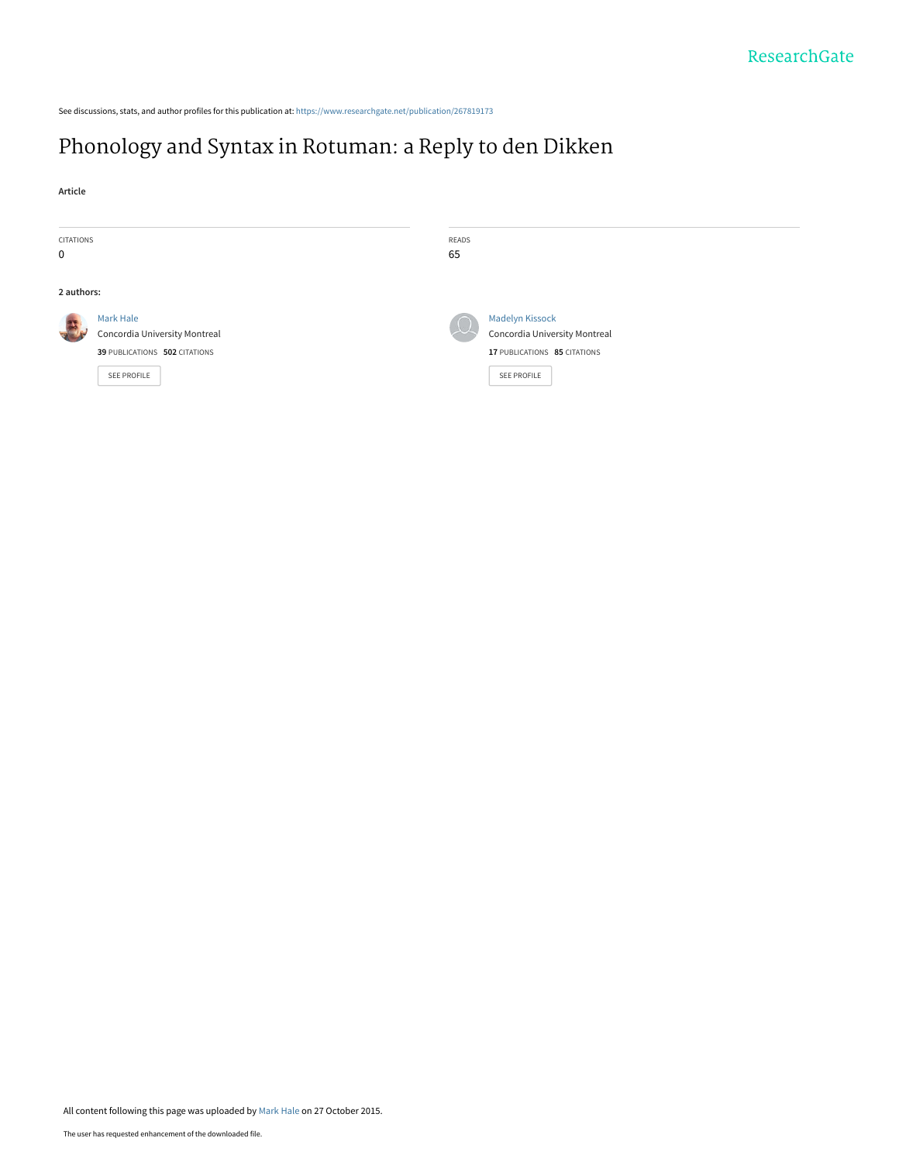See discussions, stats, and author profiles for this publication at: [https://www.researchgate.net/publication/267819173](https://www.researchgate.net/publication/267819173_Phonology_and_Syntax_in_Rotuman_a_Reply_to_den_Dikken?enrichId=rgreq-6ac61e8c5036e5b456fb4eabbab22632-XXX&enrichSource=Y292ZXJQYWdlOzI2NzgxOTE3MztBUzoyODkxMzk5NzE5MDM0ODhAMTQ0NTk0Nzc0OTMwNQ%3D%3D&el=1_x_2&_esc=publicationCoverPdf)

# [Phonology and Syntax in Rotuman: a Reply to den Dikken](https://www.researchgate.net/publication/267819173_Phonology_and_Syntax_in_Rotuman_a_Reply_to_den_Dikken?enrichId=rgreq-6ac61e8c5036e5b456fb4eabbab22632-XXX&enrichSource=Y292ZXJQYWdlOzI2NzgxOTE3MztBUzoyODkxMzk5NzE5MDM0ODhAMTQ0NTk0Nzc0OTMwNQ%3D%3D&el=1_x_3&_esc=publicationCoverPdf)

**Article**

| CITATIONS<br>0 |                                                                                            | READS<br>65 |                                                                                                        |
|----------------|--------------------------------------------------------------------------------------------|-------------|--------------------------------------------------------------------------------------------------------|
| 2 authors:     |                                                                                            |             |                                                                                                        |
| 露              | Mark Hale<br>Concordia University Montreal<br>39 PUBLICATIONS 502 CITATIONS<br>SEE PROFILE |             | <b>Madelyn Kissock</b><br>Concordia University Montreal<br>17 PUBLICATIONS 85 CITATIONS<br>SEE PROFILE |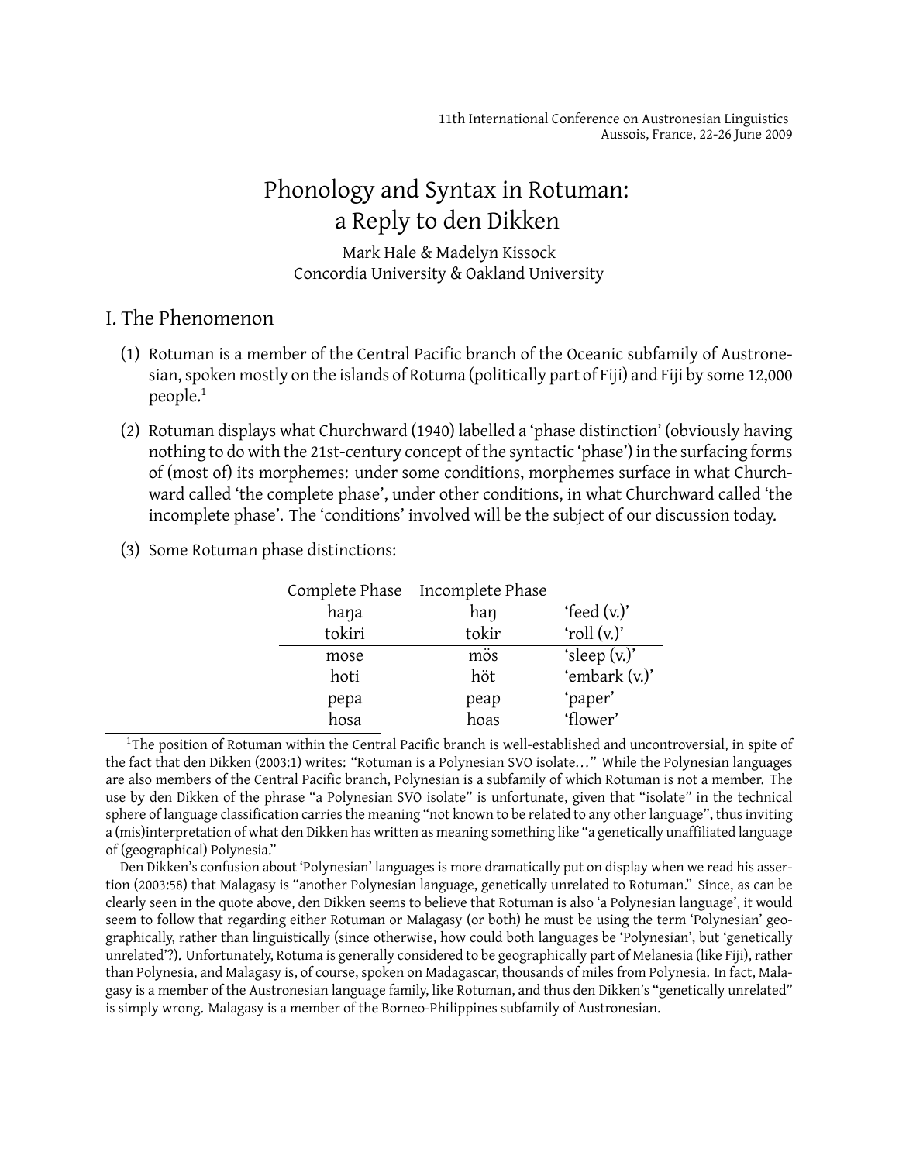# Phonology and Syntax in Rotuman: a Reply to den Dikken

Mark Hale & Madelyn Kissock Concordia University & Oakland University

## I. The Phenomenon

- (1) Rotuman is a member of the Central Pacific branch of the Oceanic subfamily of Austronesian, spoken mostly on the islands of Rotuma (politically part of Fiji) and Fiji by some 12,000 people.<sup>1</sup>
- (2) Rotuman displays what Churchward (1940) labelled a 'phase distinction' (obviously having nothing to do with the 21st-century concept of the syntactic 'phase') in the surfacing forms of (most of) its morphemes: under some conditions, morphemes surface in what Churchward called 'the complete phase', under other conditions, in what Churchward called 'the incomplete phase'. The 'conditions' involved will be the subject of our discussion today.
- (3) Some Rotuman phase distinctions:

|              | Complete Phase Incomplete Phase |                     |
|--------------|---------------------------------|---------------------|
| haŋa         | han                             | 'feed $(v.)'$       |
| tokiri       | tokir                           | 'roll (v.)'         |
| mose         | mös                             | 'sleep $(v.)'$      |
| hoti         | höt                             | 'embark (v.)'       |
|              |                                 | 'paper'<br>'flower' |
| pepa<br>hosa | peap<br>hoas                    |                     |

<sup>1</sup>The position of Rotuman within the Central Pacific branch is well-established and uncontroversial, in spite of the fact that den Dikken (2003:1) writes: "Rotuman is a Polynesian SVO isolate... " While the Polynesian languages are also members of the Central Pacific branch, Polynesian is a subfamily of which Rotuman is not a member. The use by den Dikken of the phrase "a Polynesian SVO isolate" is unfortunate, given that "isolate" in the technical sphere of language classification carries the meaning "not known to be related to any other language", thus inviting a (mis)interpretation of what den Dikken has written as meaning something like "a genetically unaffiliated language of (geographical) Polynesia."

Den Dikken's confusion about 'Polynesian' languages is more dramatically put on display when we read his assertion (2003:58) that Malagasy is "another Polynesian language, genetically unrelated to Rotuman." Since, as can be clearly seen in the quote above, den Dikken seems to believe that Rotuman is also 'a Polynesian language', it would seem to follow that regarding either Rotuman or Malagasy (or both) he must be using the term 'Polynesian' geographically, rather than linguistically (since otherwise, how could both languages be 'Polynesian', but 'genetically unrelated'?). Unfortunately, Rotuma is generally considered to be geographically part of Melanesia (like Fiji), rather than Polynesia, and Malagasy is, of course, spoken on Madagascar, thousands of miles from Polynesia. In fact, Malagasy is a member of the Austronesian language family, like Rotuman, and thus den Dikken's "genetically unrelated" is simply wrong. Malagasy is a member of the Borneo-Philippines subfamily of Austronesian.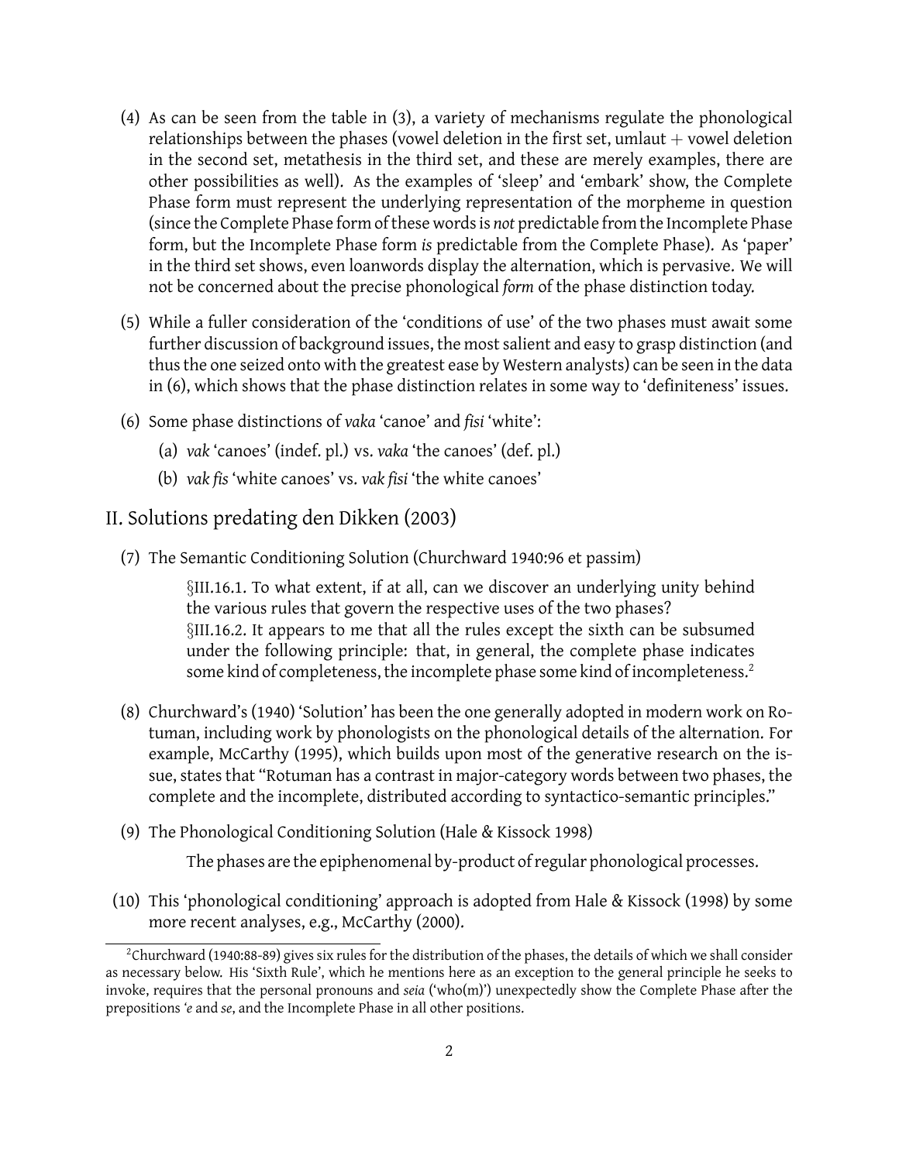- (4) As can be seen from the table in (3), a variety of mechanisms regulate the phonological relationships between the phases (vowel deletion in the first set,  $umlaut + vowel$  deletion in the second set, metathesis in the third set, and these are merely examples, there are other possibilities as well). As the examples of 'sleep' and 'embark' show, the Complete Phase form must represent the underlying representation of the morpheme in question (since the Complete Phase form of these words is *not* predictable from the Incomplete Phase form, but the Incomplete Phase form *is* predictable from the Complete Phase). As 'paper' in the third set shows, even loanwords display the alternation, which is pervasive. We will not be concerned about the precise phonological *form* of the phase distinction today.
- (5) While a fuller consideration of the 'conditions of use' of the two phases must await some further discussion of background issues, the most salient and easy to grasp distinction (and thus the one seized onto with the greatest ease by Western analysts) can be seen in the data in (6), which shows that the phase distinction relates in some way to 'definiteness' issues.
- (6) Some phase distinctions of *vaka* 'canoe' and *fisi* 'white':
	- (a) *vak* 'canoes' (indef. pl.) vs. *vaka* 'the canoes' (def. pl.)
	- (b) *vak fis* 'white canoes' vs. *vak fisi* 'the white canoes'

### II. Solutions predating den Dikken (2003)

(7) The Semantic Conditioning Solution (Churchward 1940:96 et passim)

*§*III.16.1. To what extent, if at all, can we discover an underlying unity behind the various rules that govern the respective uses of the two phases? *§*III.16.2. It appears to me that all the rules except the sixth can be subsumed under the following principle: that, in general, the complete phase indicates some kind of completeness, the incomplete phase some kind of incompleteness.<sup>2</sup>

- (8) Churchward's (1940) 'Solution' has been the one generally adopted in modern work on Rotuman, including work by phonologists on the phonological details of the alternation. For example, McCarthy (1995), which builds upon most of the generative research on the issue, states that "Rotuman has a contrast in major-category words between two phases, the complete and the incomplete, distributed according to syntactico-semantic principles."
- (9) The Phonological Conditioning Solution (Hale & Kissock 1998)

The phases are the epiphenomenal by-product of regular phonological processes.

(10) This 'phonological conditioning' approach is adopted from Hale & Kissock (1998) by some more recent analyses, e.g., McCarthy (2000).

<sup>&</sup>lt;sup>2</sup>Churchward (1940:88-89) gives six rules for the distribution of the phases, the details of which we shall consider as necessary below. His 'Sixth Rule', which he mentions here as an exception to the general principle he seeks to invoke, requires that the personal pronouns and *seia* ('who(m)') unexpectedly show the Complete Phase after the prepositions *'e* and *se*, and the Incomplete Phase in all other positions.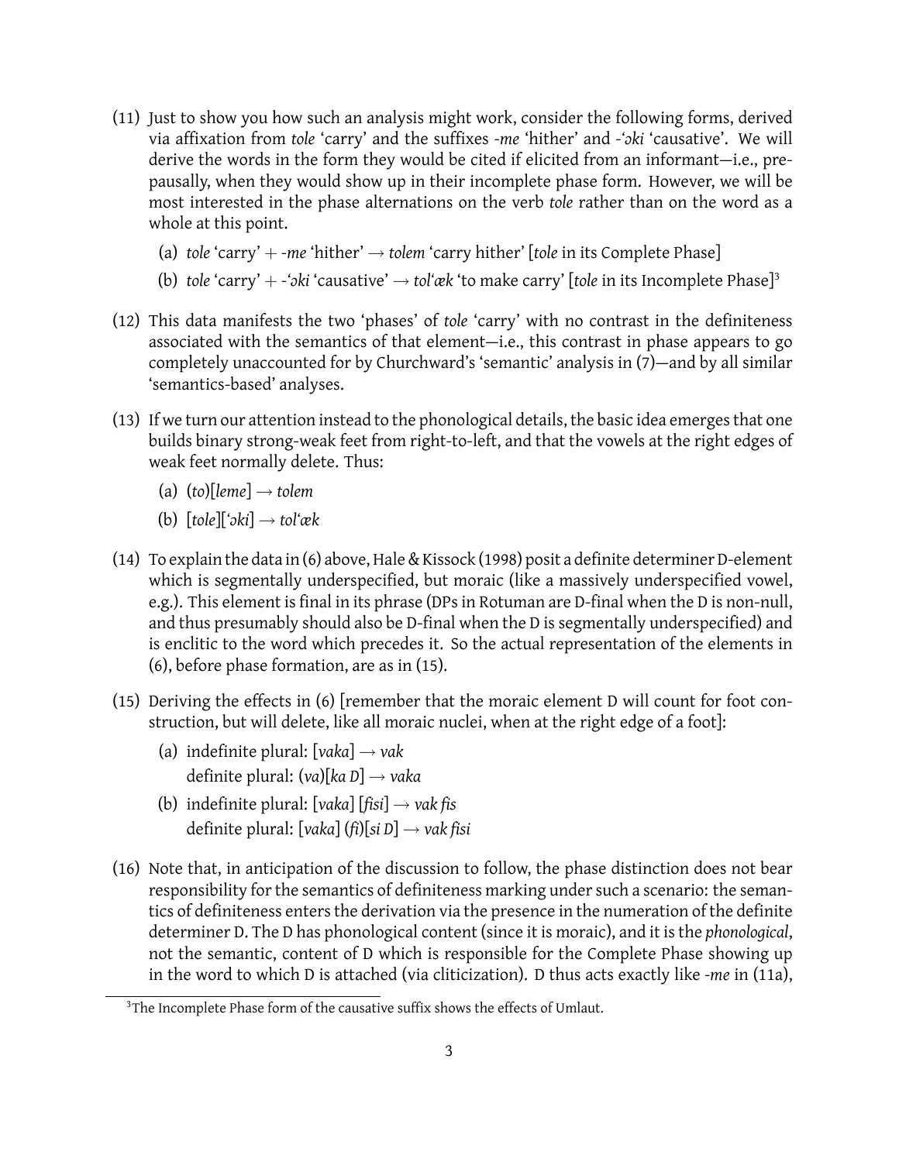- (11) Just to show you how such an analysis might work, consider the following forms, derived via affixation from *tole* 'carry' and the suffixes *-me* 'hither' and *-'ɔki* 'causative'. We will derive the words in the form they would be cited if elicited from an informant—i.e., prepausally, when they would show up in their incomplete phase form. However, we will be most interested in the phase alternations on the verb *tole* rather than on the word as a whole at this point.
	- (a) *tole* 'carry' + *-me* 'hither' *→ tolem* 'carry hither' [*tole* in its Complete Phase]
	- (b) *tole* 'carry' + *-'ɔki* 'causative' *→ tol'æk* 'to make carry' [*tole* in its Incomplete Phase]<sup>3</sup>
- (12) This data manifests the two 'phases' of *tole* 'carry' with no contrast in the definiteness associated with the semantics of that element—i.e., this contrast in phase appears to go completely unaccounted for by Churchward's 'semantic' analysis in (7)—and by all similar 'semantics-based' analyses.
- (13) If we turn our attention instead to the phonological details, the basic idea emerges that one builds binary strong-weak feet from right-to-left, and that the vowels at the right edges of weak feet normally delete. Thus:
	- (a) (*to*)[*leme*] *→ tolem*
	- (b) [*tole*][*'ɔki*] *→ tol'æk*
- (14) To explain the data in (6) above, Hale & Kissock (1998) posit a definite determiner D-element which is segmentally underspecified, but moraic (like a massively underspecified vowel, e.g.). This element is final in its phrase (DPs in Rotuman are D-final when the D is non-null, and thus presumably should also be D-final when the D is segmentally underspecified) and is enclitic to the word which precedes it. So the actual representation of the elements in (6), before phase formation, are as in (15).
- (15) Deriving the effects in (6) [remember that the moraic element D will count for foot construction, but will delete, like all moraic nuclei, when at the right edge of a foot]:
	- (a) indefinite plural: [*vaka*] *→ vak* definite plural: (*va*)[*ka D*] *→ vaka*
	- (b) indefinite plural: [*vaka*] [*fisi*] *→ vak fis* definite plural: [*vaka*] (*fi*)[*si D*] *→ vak fisi*
- (16) Note that, in anticipation of the discussion to follow, the phase distinction does not bear responsibility for the semantics of definiteness marking under such a scenario: the semantics of definiteness enters the derivation via the presence in the numeration of the definite determiner D. The D has phonological content (since it is moraic), and it is the *phonological*, not the semantic, content of D which is responsible for the Complete Phase showing up in the word to which D is attached (via cliticization). D thus acts exactly like *-me* in (11a),

<sup>&</sup>lt;sup>3</sup>The Incomplete Phase form of the causative suffix shows the effects of Umlaut.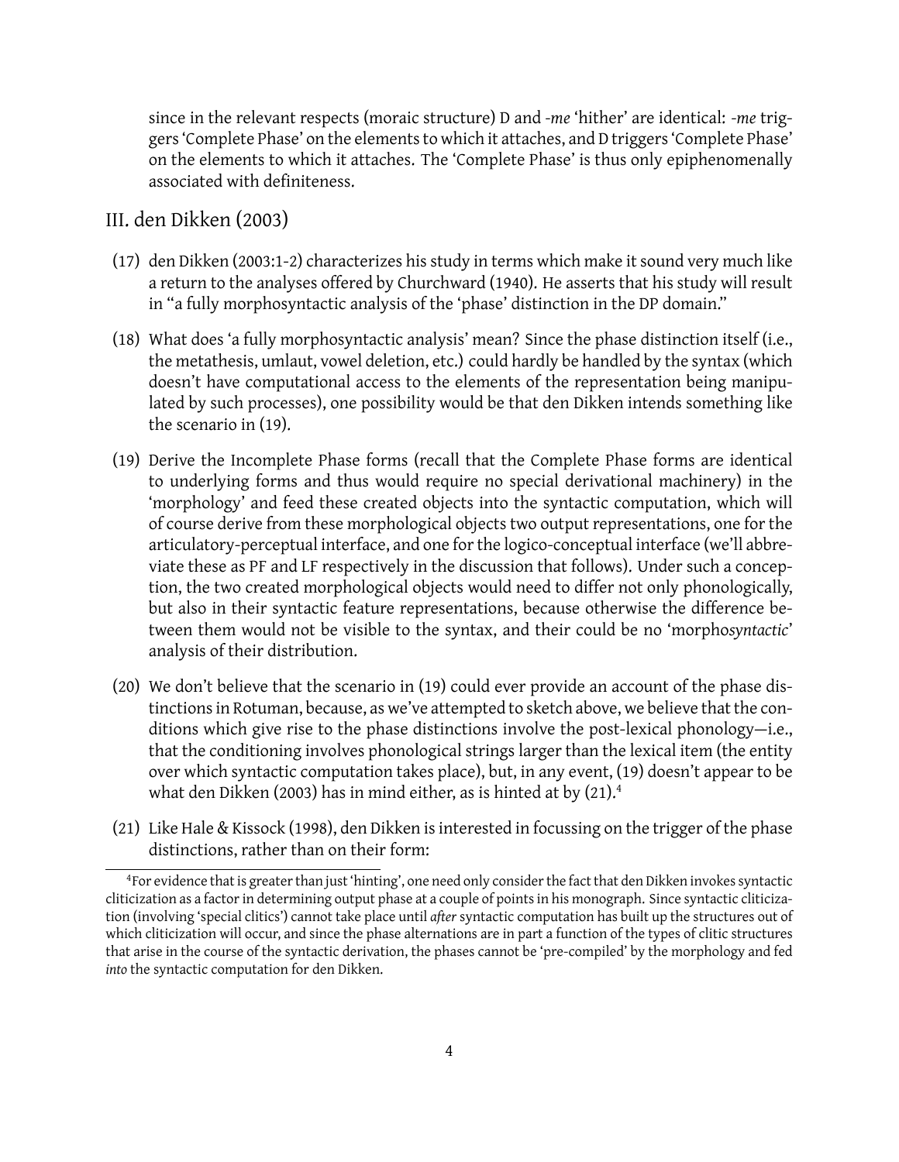since in the relevant respects (moraic structure) D and *-me* 'hither' are identical: *-me* triggers 'Complete Phase' on the elements to which it attaches, and D triggers 'Complete Phase' on the elements to which it attaches. The 'Complete Phase' is thus only epiphenomenally associated with definiteness.

## III. den Dikken (2003)

- (17) den Dikken (2003:1-2) characterizes his study in terms which make it sound very much like a return to the analyses offered by Churchward (1940). He asserts that his study will result in "a fully morphosyntactic analysis of the 'phase' distinction in the DP domain."
- (18) What does 'a fully morphosyntactic analysis' mean? Since the phase distinction itself (i.e., the metathesis, umlaut, vowel deletion, etc.) could hardly be handled by the syntax (which doesn't have computational access to the elements of the representation being manipulated by such processes), one possibility would be that den Dikken intends something like the scenario in (19).
- (19) Derive the Incomplete Phase forms (recall that the Complete Phase forms are identical to underlying forms and thus would require no special derivational machinery) in the 'morphology' and feed these created objects into the syntactic computation, which will of course derive from these morphological objects two output representations, one for the articulatory-perceptual interface, and one for the logico-conceptual interface (we'll abbreviate these as PF and LF respectively in the discussion that follows). Under such a conception, the two created morphological objects would need to differ not only phonologically, but also in their syntactic feature representations, because otherwise the difference between them would not be visible to the syntax, and their could be no 'morpho*syntactic*' analysis of their distribution.
- (20) We don't believe that the scenario in (19) could ever provide an account of the phase distinctions in Rotuman, because, as we've attempted to sketch above, we believe that the conditions which give rise to the phase distinctions involve the post-lexical phonology—i.e., that the conditioning involves phonological strings larger than the lexical item (the entity over which syntactic computation takes place), but, in any event, (19) doesn't appear to be what den Dikken (2003) has in mind either, as is hinted at by (21).<sup>4</sup>
- (21) Like Hale & Kissock (1998), den Dikken is interested in focussing on the trigger of the phase distinctions, rather than on their form:

<sup>&</sup>lt;sup>4</sup> For evidence that is greater than just 'hinting', one need only consider the fact that den Dikken invokes syntactic cliticization as a factor in determining output phase at a couple of points in his monograph. Since syntactic cliticization (involving 'special clitics') cannot take place until *after* syntactic computation has built up the structures out of which cliticization will occur, and since the phase alternations are in part a function of the types of clitic structures that arise in the course of the syntactic derivation, the phases cannot be 'pre-compiled' by the morphology and fed *into* the syntactic computation for den Dikken.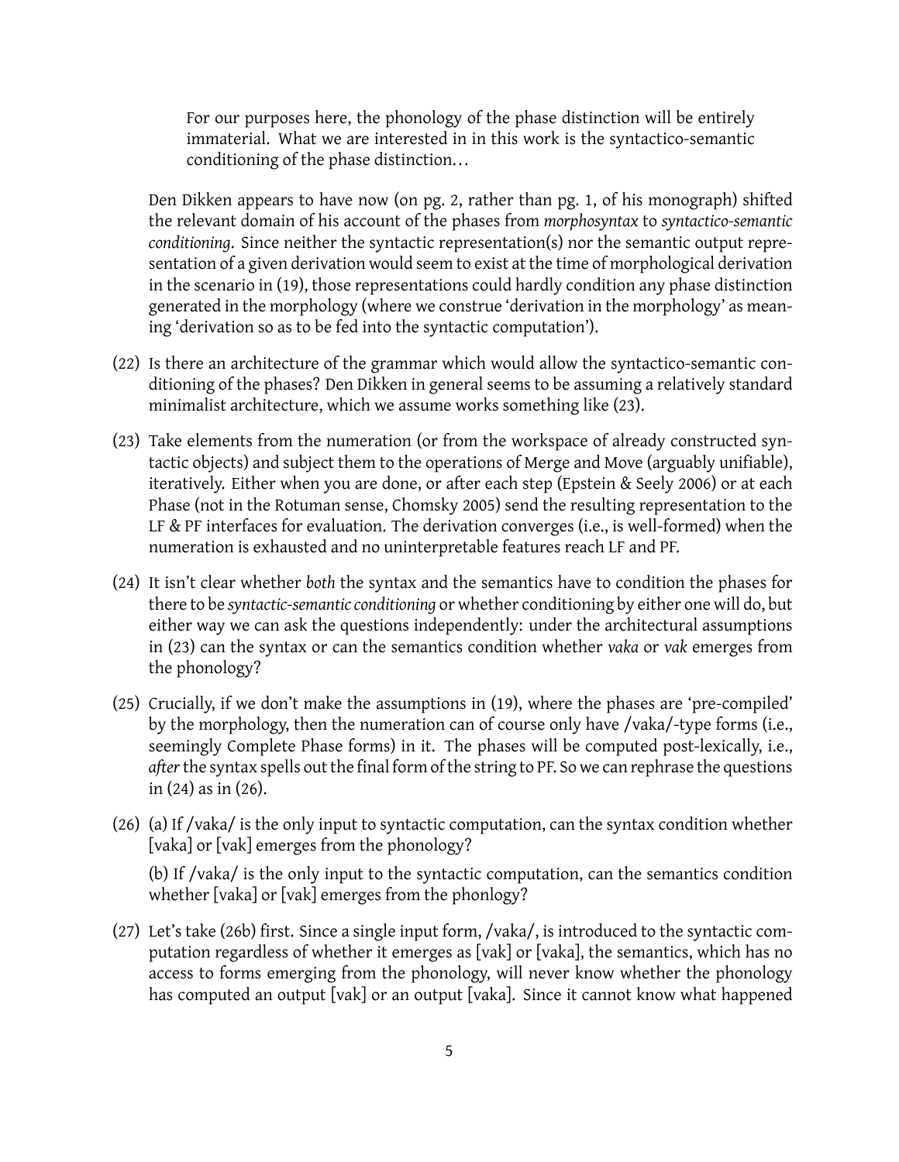For our purposes here, the phonology of the phase distinction will be entirely immaterial. What we are interested in in this work is the syntactico-semantic conditioning of the phase distinction...

Den Dikken appears to have now (on pg. 2, rather than pg. 1, of his monograph) shifted the relevant domain of his account of the phases from *morphosyntax* to *syntactico-semantic conditioning*. Since neither the syntactic representation(s) nor the semantic output representation of a given derivation would seem to exist at the time of morphological derivation in the scenario in (19), those representations could hardly condition any phase distinction generated in the morphology (where we construe 'derivation in the morphology' as meaning 'derivation so as to be fed into the syntactic computation').

- (22) Is there an architecture of the grammar which would allow the syntactico-semantic conditioning of the phases? Den Dikken in general seems to be assuming a relatively standard minimalist architecture, which we assume works something like (23).
- (23) Take elements from the numeration (or from the workspace of already constructed syntactic objects) and subject them to the operations of Merge and Move (arguably unifiable), iteratively. Either when you are done, or after each step (Epstein & Seely 2006) or at each Phase (not in the Rotuman sense, Chomsky 2005) send the resulting representation to the LF & PF interfaces for evaluation. The derivation converges (i.e., is well-formed) when the numeration is exhausted and no uninterpretable features reach LF and PF.
- (24) It isn't clear whether *both* the syntax and the semantics have to condition the phases for there to be *syntactic-semantic conditioning* or whether conditioning by either one will do, but either way we can ask the questions independently: under the architectural assumptions in (23) can the syntax or can the semantics condition whether *vaka* or *vak* emerges from the phonology?
- (25) Crucially, if we don't make the assumptions in (19), where the phases are 'pre-compiled' by the morphology, then the numeration can of course only have /vaka/-type forms (i.e., seemingly Complete Phase forms) in it. The phases will be computed post-lexically, i.e., *after*the syntax spells out the final form of the string to PF. So we can rephrase the questions in (24) as in (26).
- (26) (a) If /vaka/ is the only input to syntactic computation, can the syntax condition whether [vaka] or [vak] emerges from the phonology?

(b) If /vaka/ is the only input to the syntactic computation, can the semantics condition whether [vaka] or [vak] emerges from the phonlogy?

(27) Let's take (26b) first. Since a single input form, /vaka/, is introduced to the syntactic computation regardless of whether it emerges as [vak] or [vaka], the semantics, which has no access to forms emerging from the phonology, will never know whether the phonology has computed an output [vak] or an output [vaka]. Since it cannot know what happened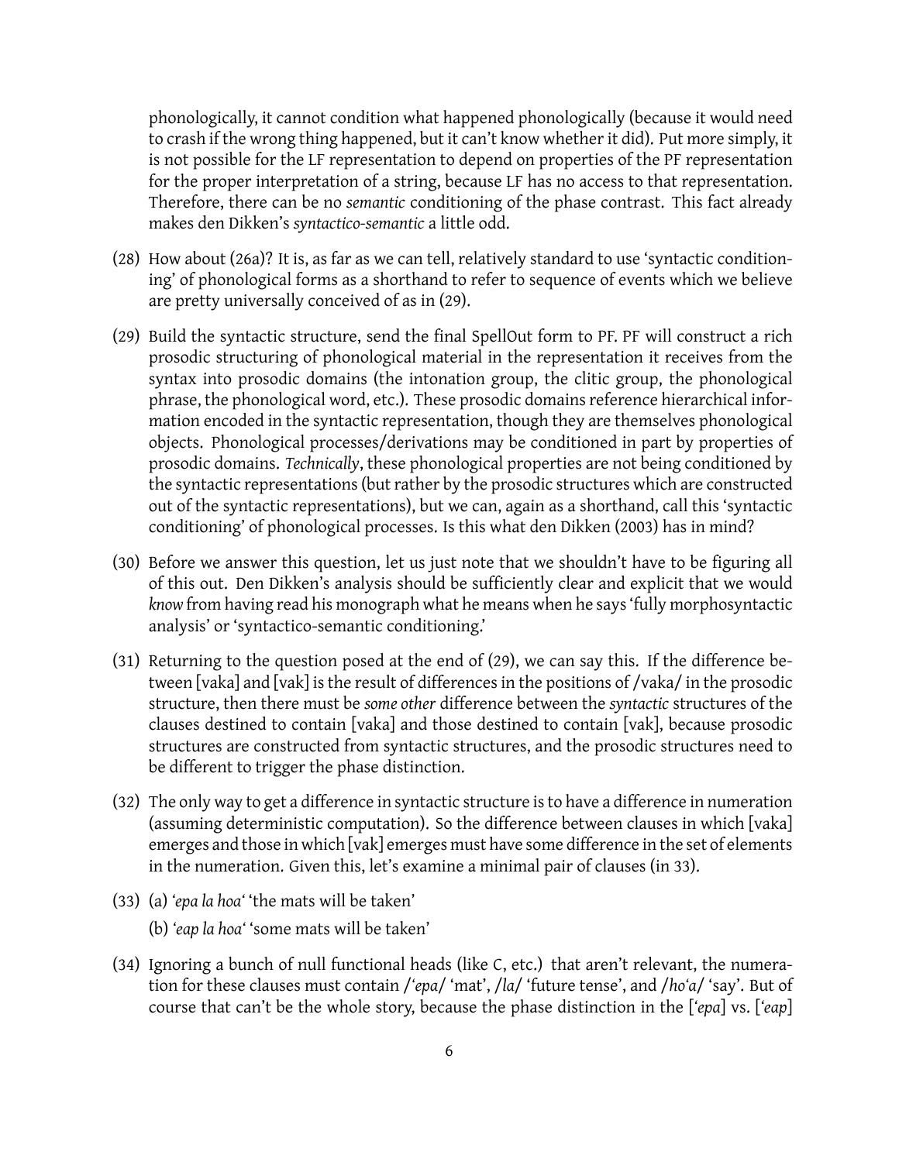phonologically, it cannot condition what happened phonologically (because it would need to crash if the wrong thing happened, but it can't know whether it did). Put more simply, it is not possible for the LF representation to depend on properties of the PF representation for the proper interpretation of a string, because LF has no access to that representation. Therefore, there can be no *semantic* conditioning of the phase contrast. This fact already makes den Dikken's *syntactico-semantic* a little odd.

- (28) How about (26a)? It is, as far as we can tell, relatively standard to use 'syntactic conditioning' of phonological forms as a shorthand to refer to sequence of events which we believe are pretty universally conceived of as in (29).
- (29) Build the syntactic structure, send the final SpellOut form to PF. PF will construct a rich prosodic structuring of phonological material in the representation it receives from the syntax into prosodic domains (the intonation group, the clitic group, the phonological phrase, the phonological word, etc.). These prosodic domains reference hierarchical information encoded in the syntactic representation, though they are themselves phonological objects. Phonological processes/derivations may be conditioned in part by properties of prosodic domains. *Technically*, these phonological properties are not being conditioned by the syntactic representations (but rather by the prosodic structures which are constructed out of the syntactic representations), but we can, again as a shorthand, call this 'syntactic conditioning' of phonological processes. Is this what den Dikken (2003) has in mind?
- (30) Before we answer this question, let us just note that we shouldn't have to be figuring all of this out. Den Dikken's analysis should be sufficiently clear and explicit that we would *know* from having read his monograph what he means when he says 'fully morphosyntactic analysis' or 'syntactico-semantic conditioning.'
- (31) Returning to the question posed at the end of (29), we can say this. If the difference between [vaka] and [vak] is the result of differences in the positions of /vaka/ in the prosodic structure, then there must be *some other* difference between the *syntactic* structures of the clauses destined to contain [vaka] and those destined to contain [vak], because prosodic structures are constructed from syntactic structures, and the prosodic structures need to be different to trigger the phase distinction.
- (32) The only way to get a difference in syntactic structure is to have a difference in numeration (assuming deterministic computation). So the difference between clauses in which [vaka] emerges and those in which [vak] emerges must have some difference in the set of elements in the numeration. Given this, let's examine a minimal pair of clauses (in 33).
- (33) (a) *'epa la hoa'* 'the mats will be taken' (b) *'eap la hoa'* 'some mats will be taken'
- (34) Ignoring a bunch of null functional heads (like C, etc.) that aren't relevant, the numera-
- tion for these clauses must contain /*'epa*/ 'mat', /*la*/ 'future tense', and /*ho'a*/ 'say'. But of course that can't be the whole story, because the phase distinction in the [*'epa*] vs. [*'eap*]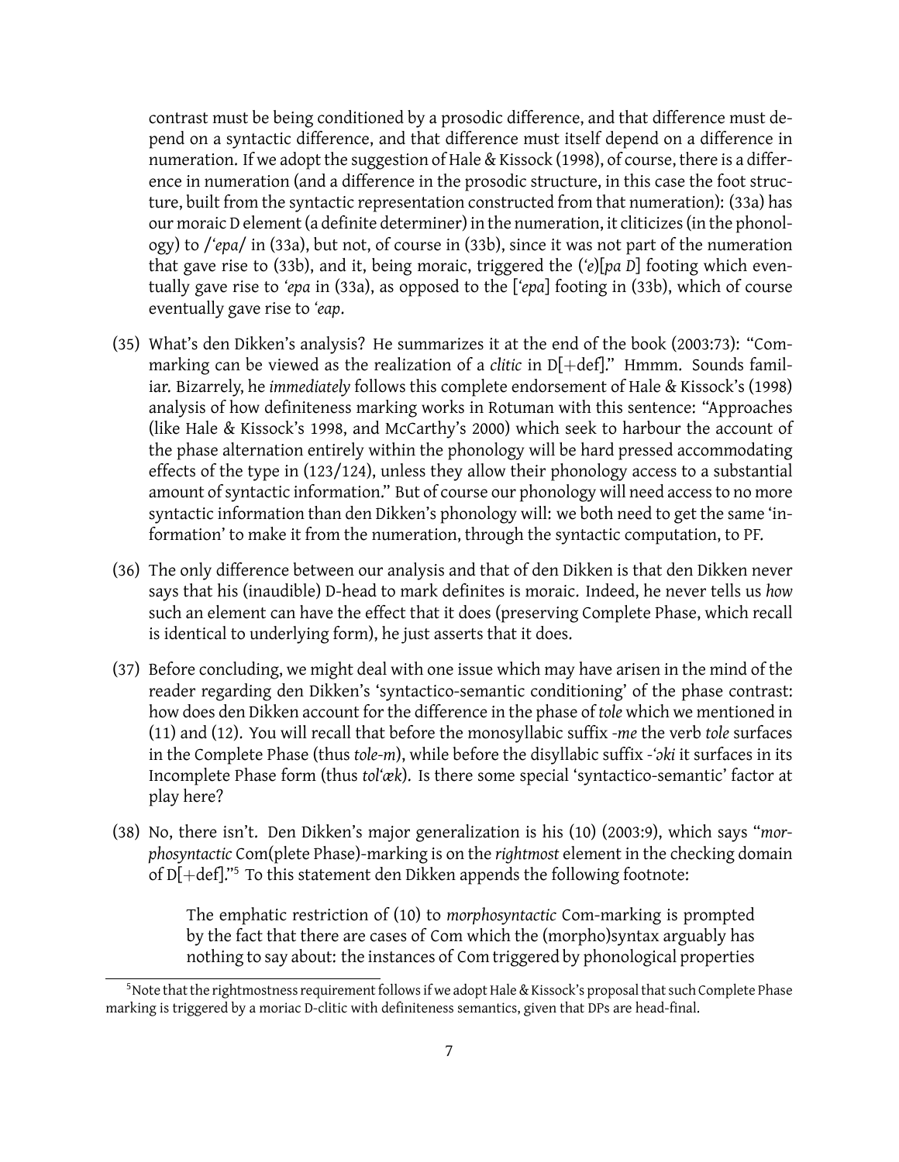contrast must be being conditioned by a prosodic difference, and that difference must depend on a syntactic difference, and that difference must itself depend on a difference in numeration. If we adopt the suggestion of Hale & Kissock (1998), of course, there is a difference in numeration (and a difference in the prosodic structure, in this case the foot structure, built from the syntactic representation constructed from that numeration): (33a) has our moraic D element (a definite determiner) in the numeration, it cliticizes (in the phonology) to /*'epa*/ in (33a), but not, of course in (33b), since it was not part of the numeration that gave rise to (33b), and it, being moraic, triggered the (*'e*)[*pa D*] footing which eventually gave rise to *'epa* in (33a), as opposed to the [*'epa*] footing in (33b), which of course eventually gave rise to *'eap*.

- (35) What's den Dikken's analysis? He summarizes it at the end of the book (2003:73): "Commarking can be viewed as the realization of a *clitic* in  $D[+def]$ ." Hmmm. Sounds familiar. Bizarrely, he *immediately* follows this complete endorsement of Hale & Kissock's (1998) analysis of how definiteness marking works in Rotuman with this sentence: "Approaches (like Hale & Kissock's 1998, and McCarthy's 2000) which seek to harbour the account of the phase alternation entirely within the phonology will be hard pressed accommodating effects of the type in (123/124), unless they allow their phonology access to a substantial amount of syntactic information." But of course our phonology will need access to no more syntactic information than den Dikken's phonology will: we both need to get the same 'information' to make it from the numeration, through the syntactic computation, to PF.
- (36) The only difference between our analysis and that of den Dikken is that den Dikken never says that his (inaudible) D-head to mark definites is moraic. Indeed, he never tells us *how* such an element can have the effect that it does (preserving Complete Phase, which recall is identical to underlying form), he just asserts that it does.
- (37) Before concluding, we might deal with one issue which may have arisen in the mind of the reader regarding den Dikken's 'syntactico-semantic conditioning' of the phase contrast: how does den Dikken account for the difference in the phase of *tole* which we mentioned in (11) and (12). You will recall that before the monosyllabic suffix *-me* the verb *tole* surfaces in the Complete Phase (thus *tole-m*), while before the disyllabic suffix *-'ɔki* it surfaces in its Incomplete Phase form (thus *tol'æk*). Is there some special 'syntactico-semantic' factor at play here?
- (38) No, there isn't. Den Dikken's major generalization is his (10) (2003:9), which says "*morphosyntactic* Com(plete Phase)-marking is on the *rightmost* element in the checking domain of D[+def]."<sup>5</sup> To this statement den Dikken appends the following footnote:

The emphatic restriction of (10) to *morphosyntactic* Com-marking is prompted by the fact that there are cases of Com which the (morpho)syntax arguably has nothing to say about: the instances of Com triggered by phonological properties

<sup>5</sup>Note that the rightmostness requirement follows if we adopt Hale & Kissock's proposal that such Complete Phase marking is triggered by a moriac D-clitic with definiteness semantics, given that DPs are head-final.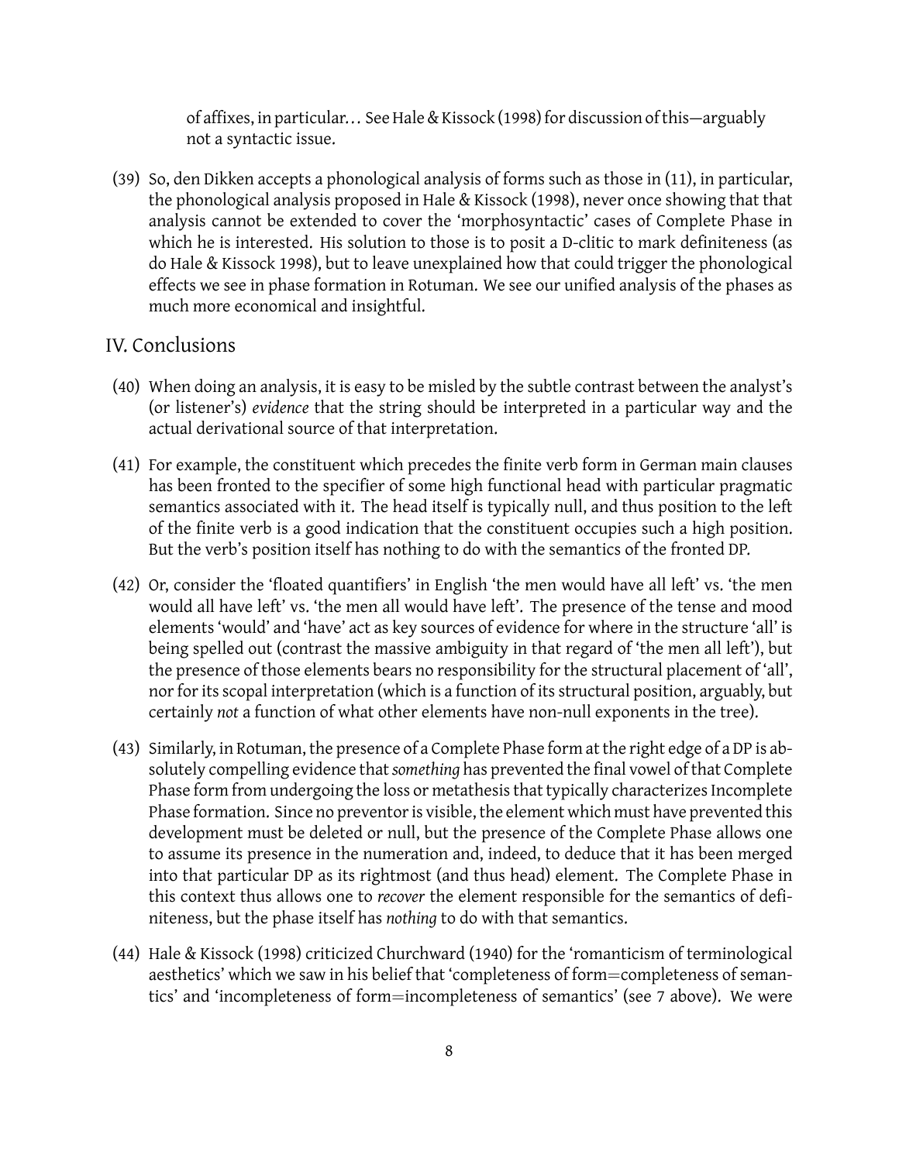of affixes, in particular... See Hale & Kissock (1998) for discussion of this—arguably not a syntactic issue.

(39) So, den Dikken accepts a phonological analysis of forms such as those in (11), in particular, the phonological analysis proposed in Hale & Kissock (1998), never once showing that that analysis cannot be extended to cover the 'morphosyntactic' cases of Complete Phase in which he is interested. His solution to those is to posit a D-clitic to mark definiteness (as do Hale & Kissock 1998), but to leave unexplained how that could trigger the phonological effects we see in phase formation in Rotuman. We see our unified analysis of the phases as much more economical and insightful.

#### IV. Conclusions

- (40) When doing an analysis, it is easy to be misled by the subtle contrast between the analyst's (or listener's) *evidence* that the string should be interpreted in a particular way and the actual derivational source of that interpretation.
- (41) For example, the constituent which precedes the finite verb form in German main clauses has been fronted to the specifier of some high functional head with particular pragmatic semantics associated with it. The head itself is typically null, and thus position to the left of the finite verb is a good indication that the constituent occupies such a high position. But the verb's position itself has nothing to do with the semantics of the fronted DP.
- (42) Or, consider the 'floated quantifiers' in English 'the men would have all left' vs. 'the men would all have left' vs. 'the men all would have left'. The presence of the tense and mood elements 'would' and 'have' act as key sources of evidence for where in the structure 'all' is being spelled out (contrast the massive ambiguity in that regard of 'the men all left'), but the presence of those elements bears no responsibility for the structural placement of 'all', nor for its scopal interpretation (which is a function of its structural position, arguably, but certainly *not* a function of what other elements have non-null exponents in the tree).
- (43) Similarly, in Rotuman, the presence of a Complete Phase form at the right edge of a DP is absolutely compelling evidence that*something* has prevented the final vowel of that Complete Phase form from undergoing the loss or metathesis that typically characterizes Incomplete Phase formation. Since no preventor is visible, the element which must have prevented this development must be deleted or null, but the presence of the Complete Phase allows one to assume its presence in the numeration and, indeed, to deduce that it has been merged into that particular DP as its rightmost (and thus head) element. The Complete Phase in this context thus allows one to *recover* the element responsible for the semantics of definiteness, but the phase itself has *nothing* to do with that semantics.
- (44) Hale & Kissock (1998) criticized Churchward (1940) for the 'romanticism of terminological aesthetics' which we saw in his belief that 'completeness of form=completeness of semantics' and 'incompleteness of form=incompleteness of semantics' (see 7 above). We were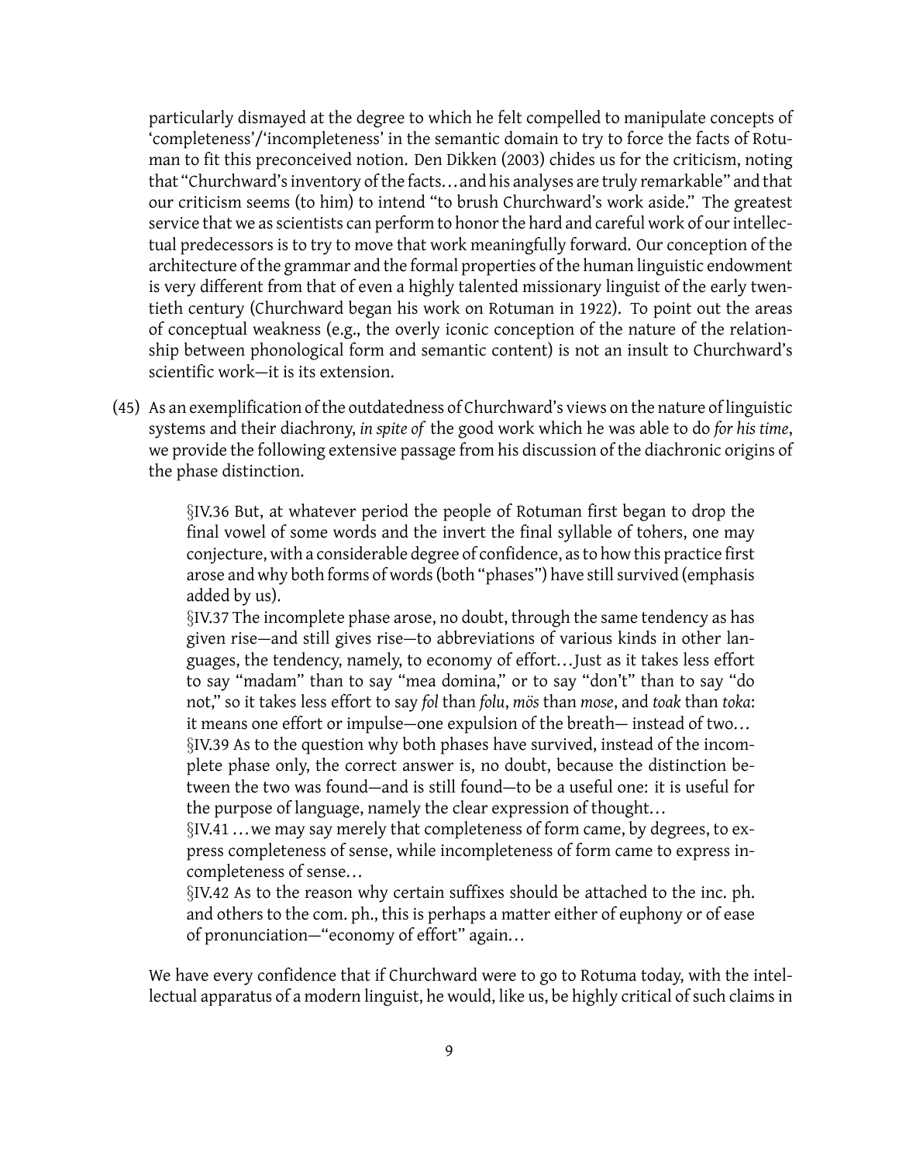particularly dismayed at the degree to which he felt compelled to manipulate concepts of 'completeness'/'incompleteness' in the semantic domain to try to force the facts of Rotuman to fit this preconceived notion. Den Dikken (2003) chides us for the criticism, noting that "Churchward's inventory of the facts...and his analyses are truly remarkable" and that our criticism seems (to him) to intend "to brush Churchward's work aside." The greatest service that we as scientists can perform to honor the hard and careful work of our intellectual predecessors is to try to move that work meaningfully forward. Our conception of the architecture of the grammar and the formal properties of the human linguistic endowment is very different from that of even a highly talented missionary linguist of the early twentieth century (Churchward began his work on Rotuman in 1922). To point out the areas of conceptual weakness (e.g., the overly iconic conception of the nature of the relationship between phonological form and semantic content) is not an insult to Churchward's scientific work—it is its extension.

(45) As an exemplification of the outdatedness of Churchward's views on the nature of linguistic systems and their diachrony, *in spite of* the good work which he was able to do *for his time*, we provide the following extensive passage from his discussion of the diachronic origins of the phase distinction.

> *§*IV.36 But, at whatever period the people of Rotuman first began to drop the final vowel of some words and the invert the final syllable of tohers, one may conjecture, with a considerable degree of confidence, as to how this practice first arose and why both forms of words (both "phases") have still survived (emphasis added by us).

> *§*IV.37 The incomplete phase arose, no doubt, through the same tendency as has given rise—and still gives rise—to abbreviations of various kinds in other languages, the tendency, namely, to economy of effort... Just as it takes less effort to say "madam" than to say "mea domina," or to say "don't" than to say "do not," so it takes less effort to say *fol* than *folu*, *mos* than *mose*, and *toak* than *toka*: it means one effort or impulse—one expulsion of the breath— instead of two...

> *§*IV.39 As to the question why both phases have survived, instead of the incomplete phase only, the correct answer is, no doubt, because the distinction between the two was found—and is still found—to be a useful one: it is useful for the purpose of language, namely the clear expression of thought...

> *§*IV.41 ...we may say merely that completeness of form came, by degrees, to express completeness of sense, while incompleteness of form came to express incompleteness of sense...

> *§*IV.42 As to the reason why certain suffixes should be attached to the inc. ph. and others to the com. ph., this is perhaps a matter either of euphony or of ease of pronunciation—"economy of effort" again...

We have every confidence that if Churchward were to go to Rotuma today, with the intellectual apparatus of a modern linguist, he would, like us, be highly critical of such claims in